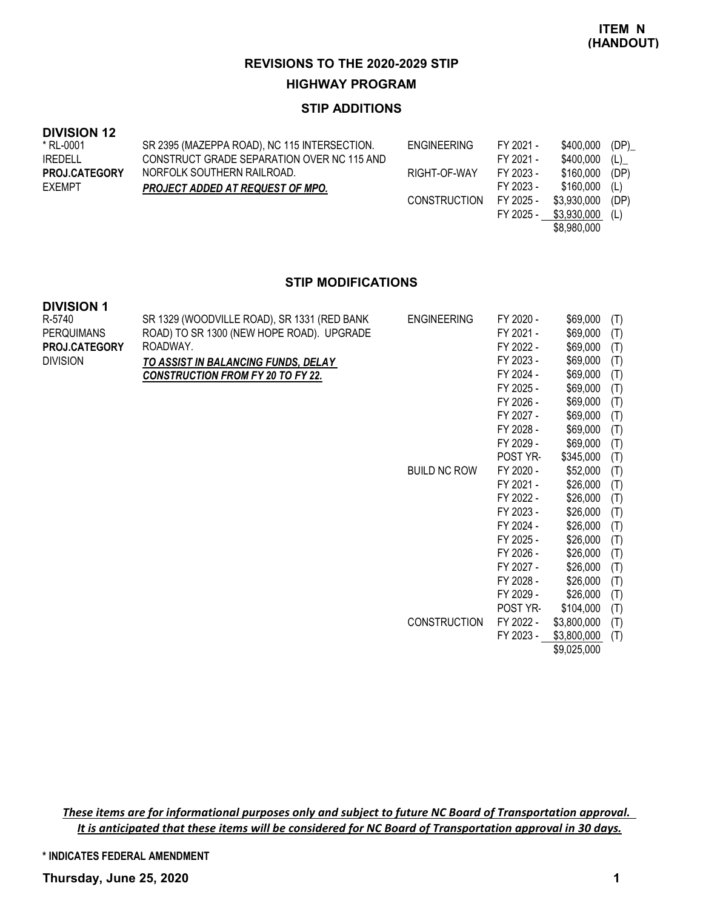#### **STIP ADDITIONS**

| <b>DIVISION 12</b> |  |
|--------------------|--|
|--------------------|--|

| * RL-0001            | SR 2395 (MAZEPPA ROAD), NC 115 INTERSECTION. | ENGINEERING         | FY 2021 - | \$400,000   | (DP) |
|----------------------|----------------------------------------------|---------------------|-----------|-------------|------|
| <b>IREDELL</b>       | CONSTRUCT GRADE SEPARATION OVER NC 115 AND   |                     | FY 2021 - | \$400,000   | (L)  |
| <b>PROJ.CATEGORY</b> | NORFOLK SOUTHERN RAILROAD.                   | RIGHT-OF-WAY        | FY 2023 - | \$160.000   | (DP) |
| <b>EXEMPT</b>        | <b>PROJECT ADDED AT REQUEST OF MPO.</b>      |                     | FY 2023 - | \$160,000   | (L)  |
|                      |                                              | <b>CONSTRUCTION</b> | FY 2025 - | \$3,930,000 | (DP) |
|                      |                                              |                     | FY 2025 - | \$3,930,000 | (L)  |
|                      |                                              |                     |           | \$8,980,000 |      |

#### **STIP MODIFICATIONS**

| <b>DIVISION 1</b> |                                             |                     |           |             |     |
|-------------------|---------------------------------------------|---------------------|-----------|-------------|-----|
| R-5740            | SR 1329 (WOODVILLE ROAD), SR 1331 (RED BANK | <b>ENGINEERING</b>  | FY 2020 - | \$69,000    | (T) |
| <b>PERQUIMANS</b> | ROAD) TO SR 1300 (NEW HOPE ROAD). UPGRADE   |                     | FY 2021 - | \$69,000    | (T) |
| PROJ.CATEGORY     | ROADWAY.                                    |                     | FY 2022 - | \$69,000    | (T) |
| <b>DIVISION</b>   | TO ASSIST IN BALANCING FUNDS, DELAY         |                     | FY 2023 - | \$69,000    | (T) |
|                   | <b>CONSTRUCTION FROM FY 20 TO FY 22.</b>    |                     | FY 2024 - | \$69,000    | (T) |
|                   |                                             |                     | FY 2025 - | \$69,000    | (T) |
|                   |                                             |                     | FY 2026 - | \$69,000    | (T) |
|                   |                                             |                     | FY 2027 - | \$69,000    | (T) |
|                   |                                             |                     | FY 2028 - | \$69,000    | (T) |
|                   |                                             |                     | FY 2029 - | \$69,000    | (T) |
|                   |                                             |                     | POST YR-  | \$345,000   | (T) |
|                   |                                             | <b>BUILD NC ROW</b> | FY 2020 - | \$52,000    | (T) |
|                   |                                             |                     | FY 2021 - | \$26,000    | (T) |
|                   |                                             |                     | FY 2022 - | \$26,000    | (T) |
|                   |                                             |                     | FY 2023 - | \$26,000    | (T) |
|                   |                                             |                     | FY 2024 - | \$26,000    | (T) |
|                   |                                             |                     | FY 2025 - | \$26,000    | (T) |
|                   |                                             |                     | FY 2026 - | \$26,000    | (T) |
|                   |                                             |                     | FY 2027 - | \$26,000    | (T) |
|                   |                                             |                     | FY 2028 - | \$26,000    | (T) |
|                   |                                             |                     | FY 2029 - | \$26,000    | (T) |
|                   |                                             |                     | POST YR-  | \$104,000   | (T) |
|                   |                                             | <b>CONSTRUCTION</b> | FY 2022 - | \$3,800,000 | (T) |
|                   |                                             |                     | FY 2023 - | \$3,800,000 | (T) |

\$9,025,000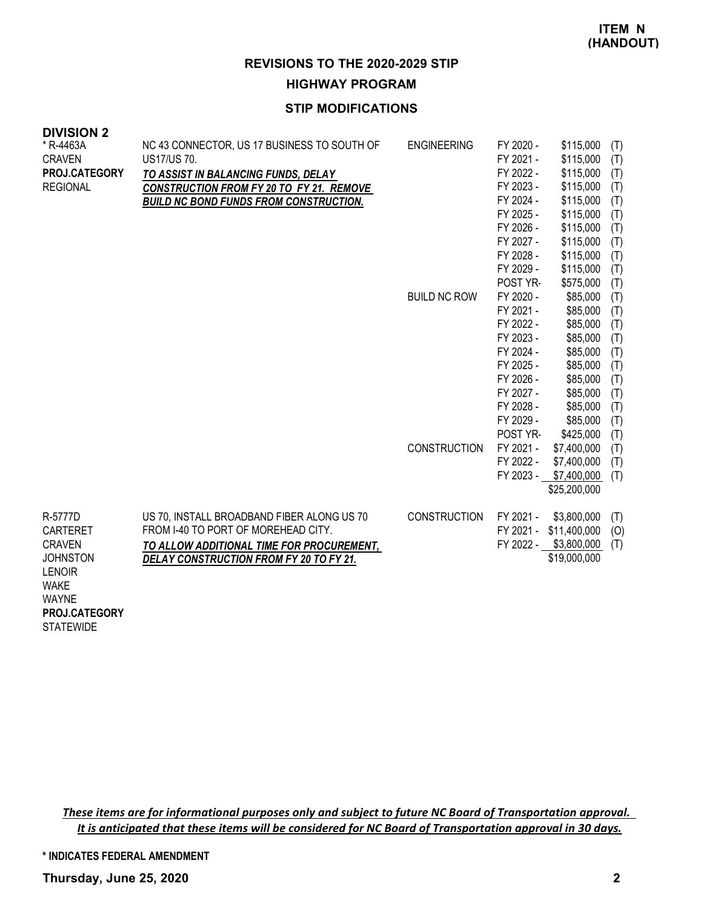### **STIP MODIFICATIONS**

| <b>DIVISIUN Z</b><br>* R-4463A<br><b>CRAVEN</b><br>PROJ.CATEGORY<br><b>REGIONAL</b>                                             | NC 43 CONNECTOR, US 17 BUSINESS TO SOUTH OF<br>US17/US 70.<br>TO ASSIST IN BALANCING FUNDS, DELAY<br><b>CONSTRUCTION FROM FY 20 TO FY 21. REMOVE</b><br><b>BUILD NC BOND FUNDS FROM CONSTRUCTION.</b> | <b>ENGINEERING</b>  | FY 2020 -<br>FY 2021 -<br>FY 2022 -<br>FY 2023 -<br>FY 2024 -<br>FY 2025 -<br>FY 2026 -<br>FY 2027 -<br>FY 2028 -<br>FY 2029 -<br>POST YR- | \$115,000<br>\$115,000<br>\$115,000<br>\$115,000<br>\$115,000<br>\$115,000<br>\$115,000<br>\$115,000<br>\$115,000<br>\$115,000<br>\$575,000 | (T)<br>(T)<br>(T)<br>(T)<br>(T)<br>(T)<br>(T)<br>(T)<br>(T)<br>(T)<br>(T) |
|---------------------------------------------------------------------------------------------------------------------------------|-------------------------------------------------------------------------------------------------------------------------------------------------------------------------------------------------------|---------------------|--------------------------------------------------------------------------------------------------------------------------------------------|---------------------------------------------------------------------------------------------------------------------------------------------|---------------------------------------------------------------------------|
|                                                                                                                                 |                                                                                                                                                                                                       | <b>BUILD NC ROW</b> | FY 2020 -<br>FY 2021 -<br>FY 2022 -<br>FY 2023 -<br>FY 2024 -<br>FY 2025 -<br>FY 2026 -<br>FY 2027 -<br>FY 2028 -<br>FY 2029 -<br>POST YR- | \$85,000<br>\$85,000<br>\$85,000<br>\$85,000<br>\$85,000<br>\$85,000<br>\$85,000<br>\$85,000<br>\$85,000<br>\$85,000<br>\$425,000           | (T)<br>(T)<br>(T)<br>(T)<br>(T)<br>(T)<br>(T)<br>(T)<br>(T)<br>(T)<br>(T) |
|                                                                                                                                 |                                                                                                                                                                                                       | <b>CONSTRUCTION</b> | FY 2021 -<br>FY 2022 -<br>FY 2023 -                                                                                                        | \$7,400,000<br>\$7,400,000<br>\$7,400,000<br>\$25,200,000                                                                                   | (T)<br>(T)<br>(T)                                                         |
| R-5777D<br><b>CARTERET</b><br><b>CRAVEN</b><br><b>JOHNSTON</b><br><b>LENOIR</b><br><b>WAKE</b><br><b>WAYNE</b><br>PROJ.CATEGORY | US 70, INSTALL BROADBAND FIBER ALONG US 70<br>FROM 1-40 TO PORT OF MOREHEAD CITY.<br>TO ALLOW ADDITIONAL TIME FOR PROCUREMENT,<br>DELAY CONSTRUCTION FROM FY 20 TO FY 21.                             | <b>CONSTRUCTION</b> | FY 2021 -                                                                                                                                  | \$3,800,000<br>FY 2021 - \$11,400,000<br>FY 2022 - \$3,800,000<br>\$19,000,000                                                              | (T)<br>(O)<br>(T)                                                         |

**STATEWIDE** 

**DIVISION 2**

These items are for informational purposes only and subject to future NC Board of Transportation approval. It is anticipated that these items will be considered for NC Board of Transportation approval in 30 days.

**\* INDICATES FEDERAL AMENDMENT**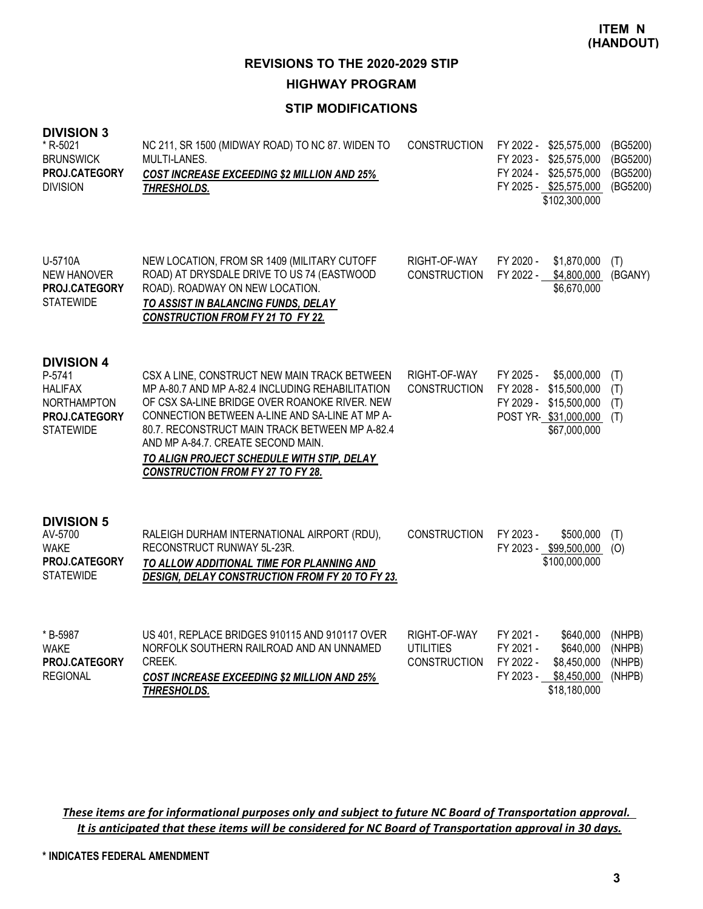### **STIP MODIFICATIONS**

| <b>DIVISION 3</b> |  |
|-------------------|--|
|-------------------|--|

| * R-5021<br><b>BRUNSWICK</b><br>PROJ.CATEGORY<br><b>DIVISION</b>                                         | NC 211, SR 1500 (MIDWAY ROAD) TO NC 87. WIDEN TO<br>MULTI-LANES.<br><b>COST INCREASE EXCEEDING \$2 MILLION AND 25%</b><br>THRESHOLDS.                                                                                                                                                                                                                                                 | <b>CONSTRUCTION</b>                                     | FY 2022 - \$25,575,000<br>FY 2023 -<br>\$25,575,000<br>FY 2024 - \$25,575,000<br>FY 2025 - \$25,575,000<br>\$102,300,000   | (BG5200)<br>(BG5200)<br>(BG5200)<br>(BG5200) |
|----------------------------------------------------------------------------------------------------------|---------------------------------------------------------------------------------------------------------------------------------------------------------------------------------------------------------------------------------------------------------------------------------------------------------------------------------------------------------------------------------------|---------------------------------------------------------|----------------------------------------------------------------------------------------------------------------------------|----------------------------------------------|
| U-5710A<br><b>NEW HANOVER</b><br>PROJ.CATEGORY<br><b>STATEWIDE</b>                                       | NEW LOCATION, FROM SR 1409 (MILITARY CUTOFF<br>ROAD) AT DRYSDALE DRIVE TO US 74 (EASTWOOD<br>ROAD). ROADWAY ON NEW LOCATION.<br>TO ASSIST IN BALANCING FUNDS, DELAY<br>CONSTRUCTION FROM FY 21 TO FY 22.                                                                                                                                                                              | RIGHT-OF-WAY<br><b>CONSTRUCTION</b>                     | FY 2020 -<br>\$1,870,000<br>FY 2022 -<br>\$4,800,000<br>\$6,670,000                                                        | (T)<br>(BGANY)                               |
| <b>DIVISION 4</b><br>P-5741<br><b>HALIFAX</b><br><b>NORTHAMPTON</b><br>PROJ.CATEGORY<br><b>STATEWIDE</b> | CSX A LINE, CONSTRUCT NEW MAIN TRACK BETWEEN<br>MP A-80.7 AND MP A-82.4 INCLUDING REHABILITATION<br>OF CSX SA-LINE BRIDGE OVER ROANOKE RIVER. NEW<br>CONNECTION BETWEEN A-LINE AND SA-LINE AT MP A-<br>80.7. RECONSTRUCT MAIN TRACK BETWEEN MP A-82.4<br>AND MP A-84.7. CREATE SECOND MAIN.<br>TO ALIGN PROJECT SCHEDULE WITH STIP, DELAY<br><b>CONSTRUCTION FROM FY 27 TO FY 28.</b> | RIGHT-OF-WAY<br><b>CONSTRUCTION</b>                     | FY 2025 -<br>\$5,000,000<br>FY 2028 -<br>\$15,500,000<br>\$15,500,000<br>FY 2029 -<br>POST YR-\$31,000,000<br>\$67,000,000 | (T)<br>(T)<br>(T)<br>(T)                     |
| <b>DIVISION 5</b><br>AV-5700<br><b>WAKE</b><br>PROJ.CATEGORY<br><b>STATEWIDE</b>                         | RALEIGH DURHAM INTERNATIONAL AIRPORT (RDU),<br>RECONSTRUCT RUNWAY 5L-23R.<br>TO ALLOW ADDITIONAL TIME FOR PLANNING AND<br>DESIGN, DELAY CONSTRUCTION FROM FY 20 TO FY 23.                                                                                                                                                                                                             | <b>CONSTRUCTION</b>                                     | FY 2023 -<br>\$500,000<br>FY 2023 - \$99,500,000<br>\$100,000,000                                                          | (T)<br>(O)                                   |
| * B-5987<br><b>WAKE</b><br>PROJ.CATEGORY<br><b>REGIONAL</b>                                              | US 401, REPLACE BRIDGES 910115 AND 910117 OVER<br>NORFOLK SOUTHERN RAILROAD AND AN UNNAMED<br>CREEK.<br><b>COST INCREASE EXCEEDING \$2 MILLION AND 25%</b><br>THRESHOLDS.                                                                                                                                                                                                             | RIGHT-OF-WAY<br><b>UTILITIES</b><br><b>CONSTRUCTION</b> | FY 2021 -<br>\$640,000<br>FY 2021 -<br>\$640,000<br>FY 2022 -<br>\$8,450,000<br>FY 2023 -<br>\$8,450,000<br>\$18,180,000   | (NHPB)<br>(NHPB)<br>(NHPB)<br>(NHPB)         |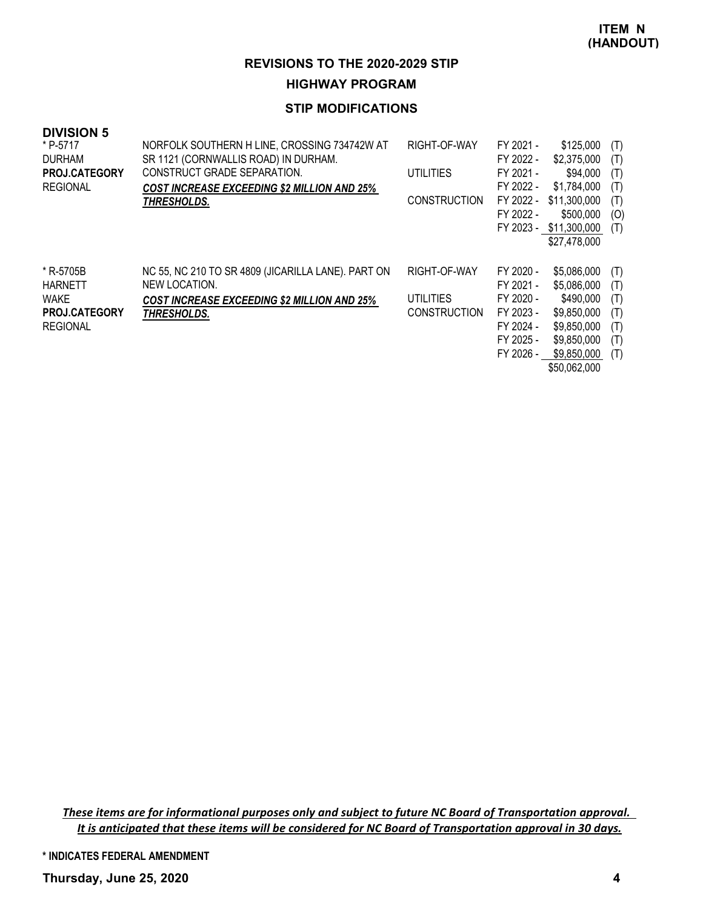#### **STIP MODIFICATIONS**

| <b>DIVISION 5</b><br>* P-5717<br><b>DURHAM</b><br><b>PROJ.CATEGORY</b><br><b>REGIONAL</b> | NORFOLK SOUTHERN H LINE, CROSSING 734742W AT<br>SR 1121 (CORNWALLIS ROAD) IN DURHAM.<br>CONSTRUCT GRADE SEPARATION.<br><b>COST INCREASE EXCEEDING \$2 MILLION AND 25%</b><br>THRESHOLDS. | RIGHT-OF-WAY<br>UTILITIES<br><b>CONSTRUCTION</b> | FY 2021 -<br>FY 2022 -<br>FY 2021 -<br>FY 2022 -<br>FY 2022 -<br>FY 2022 -              | \$125,000<br>\$2,375,000<br>\$94,000<br>\$1,784,000<br>\$11,300,000<br>\$500,000<br>FY 2023 - \$11,300,000<br>\$27,478,000 | (T)<br>(T)<br>(T)<br>(T)<br>(T)<br>(O)<br>(T) |
|-------------------------------------------------------------------------------------------|------------------------------------------------------------------------------------------------------------------------------------------------------------------------------------------|--------------------------------------------------|-----------------------------------------------------------------------------------------|----------------------------------------------------------------------------------------------------------------------------|-----------------------------------------------|
| * R-5705B<br><b>HARNETT</b><br><b>WAKE</b><br><b>PROJ.CATEGORY</b><br><b>REGIONAL</b>     | NC 55, NC 210 TO SR 4809 (JICARILLA LANE). PART ON<br>NEW LOCATION.<br><b>COST INCREASE EXCEEDING \$2 MILLION AND 25%</b><br><b>THRESHOLDS.</b>                                          | RIGHT-OF-WAY<br>UTILITIES<br><b>CONSTRUCTION</b> | FY 2020 -<br>FY 2021 -<br>FY 2020 -<br>FY 2023 -<br>FY 2024 -<br>FY 2025 -<br>FY 2026 - | \$5,086,000<br>\$5,086,000<br>\$490,000<br>\$9,850,000<br>\$9,850,000<br>\$9,850,000<br>\$9,850,000<br>\$50,062,000        | (T)<br>(T)<br>(T)<br>(T)<br>(T)<br>(T)<br>(T) |

These items are for informational purposes only and subject to future NC Board of Transportation approval. It is anticipated that these items will be considered for NC Board of Transportation approval in 30 days.

**\* INDICATES FEDERAL AMENDMENT**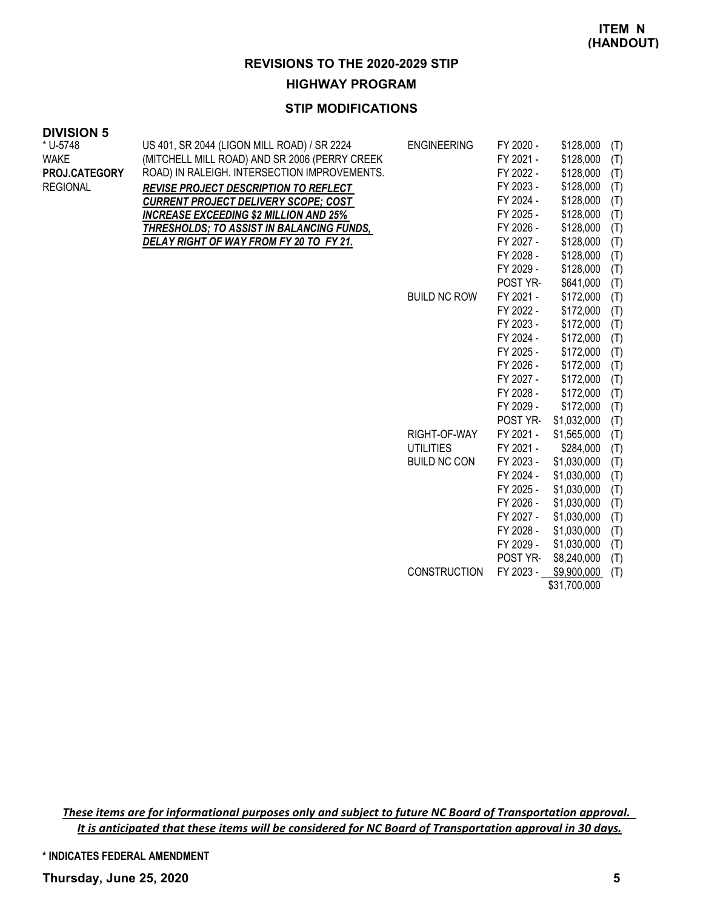#### **STIP MODIFICATIONS**

| <b>DIVISION 5</b> |  |
|-------------------|--|
| * U-5748          |  |

| ט ויטוטוז<br>* U-5748<br><b>WAKE</b><br>PROJ.CATEGORY<br><b>REGIONAL</b> | US 401, SR 2044 (LIGON MILL ROAD) / SR 2224<br>(MITCHELL MILL ROAD) AND SR 2006 (PERRY CREEK<br>ROAD) IN RALEIGH. INTERSECTION IMPROVEMENTS.<br>REVISE PROJECT DESCRIPTION TO REFLECT<br><b>CURRENT PROJECT DELIVERY SCOPE; COST</b><br><b>INCREASE EXCEEDING \$2 MILLION AND 25%</b><br>THRESHOLDS; TO ASSIST IN BALANCING FUNDS,<br>DELAY RIGHT OF WAY FROM FY 20 TO FY 21. | <b>ENGINEERING</b>  | FY 2020 -<br>FY 2021 -<br>FY 2022 -<br>FY 2023 -<br>FY 2024 -<br>FY 2025 -<br>FY 2026 -<br>FY 2027 -<br>FY 2028 - | \$128,000<br>\$128,000<br>\$128,000<br>\$128,000<br>\$128,000<br>\$128,000<br>\$128,000<br>\$128,000<br>\$128,000 | (T)<br>(T)<br>(T)<br>(T)<br>(T)<br>(T)<br>(T)<br>(T)<br>(T) |
|--------------------------------------------------------------------------|-------------------------------------------------------------------------------------------------------------------------------------------------------------------------------------------------------------------------------------------------------------------------------------------------------------------------------------------------------------------------------|---------------------|-------------------------------------------------------------------------------------------------------------------|-------------------------------------------------------------------------------------------------------------------|-------------------------------------------------------------|
|                                                                          |                                                                                                                                                                                                                                                                                                                                                                               |                     | FY 2029 -                                                                                                         | \$128,000                                                                                                         | (T)                                                         |
|                                                                          |                                                                                                                                                                                                                                                                                                                                                                               |                     | POST YR-                                                                                                          | \$641,000                                                                                                         | (T)                                                         |
|                                                                          |                                                                                                                                                                                                                                                                                                                                                                               | <b>BUILD NC ROW</b> | FY 2021 -                                                                                                         | \$172,000                                                                                                         | (T)                                                         |
|                                                                          |                                                                                                                                                                                                                                                                                                                                                                               |                     | FY 2022 -                                                                                                         | \$172,000                                                                                                         | (T)                                                         |
|                                                                          |                                                                                                                                                                                                                                                                                                                                                                               |                     | FY 2023 -                                                                                                         | \$172,000                                                                                                         | (T)                                                         |
|                                                                          |                                                                                                                                                                                                                                                                                                                                                                               |                     | FY 2024 -                                                                                                         | \$172,000                                                                                                         | (T)                                                         |
|                                                                          |                                                                                                                                                                                                                                                                                                                                                                               |                     | FY 2025 -                                                                                                         | \$172,000                                                                                                         | (T)                                                         |
|                                                                          |                                                                                                                                                                                                                                                                                                                                                                               |                     | FY 2026 -                                                                                                         | \$172,000                                                                                                         | (T)                                                         |
|                                                                          |                                                                                                                                                                                                                                                                                                                                                                               |                     | FY 2027 -                                                                                                         | \$172,000                                                                                                         | (T)                                                         |
|                                                                          |                                                                                                                                                                                                                                                                                                                                                                               |                     | FY 2028 -                                                                                                         | \$172,000                                                                                                         | (T)                                                         |
|                                                                          |                                                                                                                                                                                                                                                                                                                                                                               |                     | FY 2029 -                                                                                                         | \$172,000                                                                                                         | (T)                                                         |
|                                                                          |                                                                                                                                                                                                                                                                                                                                                                               |                     | POST YR-                                                                                                          | \$1,032,000                                                                                                       | (T)                                                         |
|                                                                          |                                                                                                                                                                                                                                                                                                                                                                               | RIGHT-OF-WAY        | FY 2021 -                                                                                                         | \$1,565,000                                                                                                       | (T)                                                         |
|                                                                          |                                                                                                                                                                                                                                                                                                                                                                               | <b>UTILITIES</b>    | FY 2021 -                                                                                                         | \$284,000                                                                                                         | (T)                                                         |
|                                                                          |                                                                                                                                                                                                                                                                                                                                                                               | <b>BUILD NC CON</b> | FY 2023 -                                                                                                         | \$1,030,000                                                                                                       | (T)                                                         |
|                                                                          |                                                                                                                                                                                                                                                                                                                                                                               |                     | FY 2024 -                                                                                                         | \$1,030,000                                                                                                       | (T)                                                         |
|                                                                          |                                                                                                                                                                                                                                                                                                                                                                               |                     | FY 2025 -                                                                                                         | \$1,030,000                                                                                                       | (T)                                                         |
|                                                                          |                                                                                                                                                                                                                                                                                                                                                                               |                     | FY 2026 -                                                                                                         | \$1,030,000                                                                                                       | (T)                                                         |
|                                                                          |                                                                                                                                                                                                                                                                                                                                                                               |                     | FY 2027 -                                                                                                         | \$1,030,000                                                                                                       | (T)                                                         |
|                                                                          |                                                                                                                                                                                                                                                                                                                                                                               |                     | FY 2028 -                                                                                                         | \$1,030,000                                                                                                       | (T)                                                         |
|                                                                          |                                                                                                                                                                                                                                                                                                                                                                               |                     | FY 2029 -                                                                                                         | \$1,030,000                                                                                                       | (T)                                                         |
|                                                                          |                                                                                                                                                                                                                                                                                                                                                                               |                     | POST YR-                                                                                                          | \$8,240,000                                                                                                       | (T)                                                         |
|                                                                          |                                                                                                                                                                                                                                                                                                                                                                               | <b>CONSTRUCTION</b> | FY 2023 -                                                                                                         | \$9,900,000                                                                                                       | (T)                                                         |
|                                                                          |                                                                                                                                                                                                                                                                                                                                                                               |                     |                                                                                                                   | \$31,700,000                                                                                                      |                                                             |

These items are for informational purposes only and subject to future NC Board of Transportation approval. It is anticipated that these items will be considered for NC Board of Transportation approval in 30 days.

**\* INDICATES FEDERAL AMENDMENT**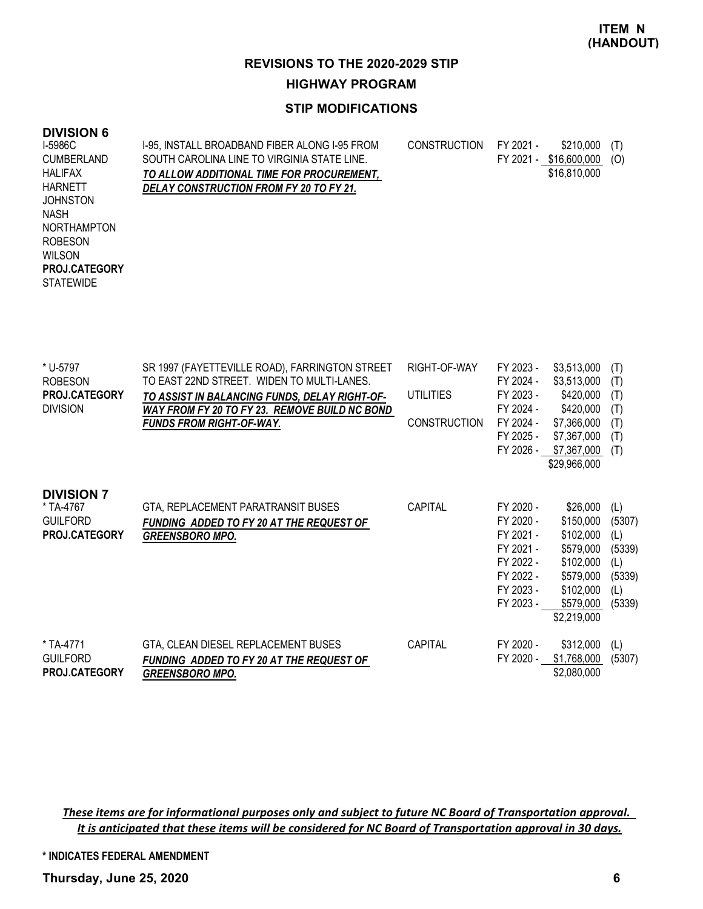### **STIP MODIFICATIONS**

#### **DIVISION 6**

| I-5986C<br><b>CUMBERLAND</b>             | I-95, INSTALL BROADBAND FIBER ALONG I-95 FROM<br>SOUTH CAROLINA LINE TO VIRGINIA STATE LINE. | <b>CONSTRUCTION</b> | FY 2021 - | \$210,000<br>FY 2021 - \$16,600,000 | Œ<br>(O) |
|------------------------------------------|----------------------------------------------------------------------------------------------|---------------------|-----------|-------------------------------------|----------|
| <b>HALIFAX</b><br><b>HARNETT</b>         | TO ALLOW ADDITIONAL TIME FOR PROCUREMENT,<br>DELAY CONSTRUCTION FROM FY 20 TO FY 21.         |                     |           | \$16,810,000                        |          |
| <b>JOHNSTON</b><br><b>NASH</b>           |                                                                                              |                     |           |                                     |          |
| <b>NORTHAMPTON</b>                       |                                                                                              |                     |           |                                     |          |
| <b>ROBESON</b><br><b>WILSON</b>          |                                                                                              |                     |           |                                     |          |
| <b>PROJ.CATEGORY</b><br><b>STATEWIDE</b> |                                                                                              |                     |           |                                     |          |

| * U-5797          | SR 1997 (FAYETTEVILLE ROAD), FARRINGTON STREET  | RIGHT-OF-WAY        | FY 2023 - | \$3,513,000  | (T)    |
|-------------------|-------------------------------------------------|---------------------|-----------|--------------|--------|
| <b>ROBESON</b>    | TO EAST 22ND STREET. WIDEN TO MULTI-LANES.      |                     | FY 2024 - | \$3,513,000  | (T)    |
| PROJ.CATEGORY     | TO ASSIST IN BALANCING FUNDS, DELAY RIGHT-OF-   | <b>UTILITIES</b>    | FY 2023 - | \$420,000    | (T)    |
| <b>DIVISION</b>   | WAY FROM FY 20 TO FY 23. REMOVE BUILD NC BOND   |                     | FY 2024 - | \$420,000    | (T)    |
|                   | <b>FUNDS FROM RIGHT-OF-WAY.</b>                 | <b>CONSTRUCTION</b> | FY 2024 - | \$7,366,000  | (T)    |
|                   |                                                 |                     | FY 2025 - | \$7,367,000  | (T)    |
|                   |                                                 |                     | FY 2026 - | \$7,367,000  | (T)    |
|                   |                                                 |                     |           | \$29,966,000 |        |
|                   |                                                 |                     |           |              |        |
| <b>DIVISION 7</b> |                                                 |                     |           |              |        |
| * TA-4767         | GTA, REPLACEMENT PARATRANSIT BUSES              | <b>CAPITAL</b>      | FY 2020 - | \$26,000     | (L)    |
| <b>GUILFORD</b>   | FUNDING ADDED TO FY 20 AT THE REQUEST OF        |                     | FY 2020 - | \$150,000    | (5307) |
| PROJ.CATEGORY     | <b>GREENSBORO MPO.</b>                          |                     | FY 2021 - | \$102,000    | (L)    |
|                   |                                                 |                     | FY 2021 - | \$579,000    | (5339) |
|                   |                                                 |                     | FY 2022 - | \$102,000    | (L)    |
|                   |                                                 |                     | FY 2022 - | \$579,000    | (5339) |
|                   |                                                 |                     | FY 2023 - | \$102,000    | (L)    |
|                   |                                                 |                     | FY 2023 - | \$579,000    | (5339) |
|                   |                                                 |                     |           | \$2,219,000  |        |
|                   |                                                 |                     |           |              |        |
| * TA-4771         | GTA, CLEAN DIESEL REPLACEMENT BUSES             | <b>CAPITAL</b>      | FY 2020 - | \$312,000    | (L)    |
| <b>GUILFORD</b>   | <b>FUNDING ADDED TO FY 20 AT THE REQUEST OF</b> |                     | FY 2020 - | \$1,768,000  | (5307) |
| PROJ.CATEGORY     | <b>GREENSBORO MPO.</b>                          |                     |           | \$2,080,000  |        |

These items are for informational purposes only and subject to future NC Board of Transportation approval. It is anticipated that these items will be considered for NC Board of Transportation approval in 30 days.

**\* INDICATES FEDERAL AMENDMENT**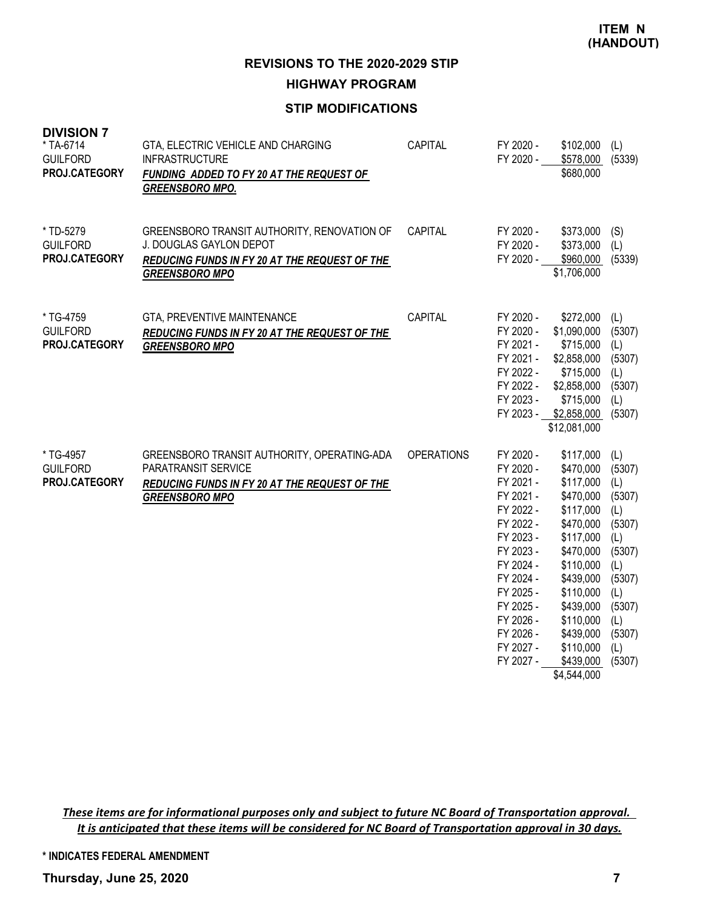#### **STIP MODIFICATIONS**

| <b>DIVISION 7</b><br>* TA-6714<br><b>GUILFORD</b><br>PROJ.CATEGORY | GTA, ELECTRIC VEHICLE AND CHARGING<br><b>INFRASTRUCTURE</b><br>FUNDING ADDED TO FY 20 AT THE REQUEST OF<br><b>GREENSBORO MPO.</b>                       | CAPITAL           | FY 2020 -<br>FY 2020 -                                                                                                                                                                                       | \$102,000<br>\$578,000<br>\$680,000                                                                                                                                                                                         | (L)<br>(5339)                                                                                                                        |
|--------------------------------------------------------------------|---------------------------------------------------------------------------------------------------------------------------------------------------------|-------------------|--------------------------------------------------------------------------------------------------------------------------------------------------------------------------------------------------------------|-----------------------------------------------------------------------------------------------------------------------------------------------------------------------------------------------------------------------------|--------------------------------------------------------------------------------------------------------------------------------------|
| * TD-5279<br><b>GUILFORD</b><br>PROJ.CATEGORY                      | GREENSBORO TRANSIT AUTHORITY, RENOVATION OF<br><b>J. DOUGLAS GAYLON DEPOT</b><br>REDUCING FUNDS IN FY 20 AT THE REQUEST OF THE<br><b>GREENSBORO MPO</b> | CAPITAL           | FY 2020 -<br>FY 2020 -<br>FY 2020 -                                                                                                                                                                          | \$373,000<br>\$373,000<br>\$960,000<br>\$1,706,000                                                                                                                                                                          | (S)<br>(L)<br>(5339)                                                                                                                 |
| * TG-4759<br><b>GUILFORD</b><br><b>PROJ.CATEGORY</b>               | GTA, PREVENTIVE MAINTENANCE<br>REDUCING FUNDS IN FY 20 AT THE REQUEST OF THE<br><b>GREENSBORO MPO</b>                                                   | CAPITAL           | FY 2020 -<br>FY 2020 -<br>FY 2021 -<br>FY 2021 -<br>FY 2022 -<br>FY 2022 -<br>FY 2023 -                                                                                                                      | \$272,000<br>\$1,090,000<br>\$715,000<br>\$2,858,000<br>\$715,000<br>\$2,858,000<br>\$715,000<br>FY 2023 - \$2,858,000<br>\$12,081,000                                                                                      | (L)<br>(5307)<br>(L)<br>(5307)<br>(L)<br>(5307)<br>(L)<br>(5307)                                                                     |
| * TG-4957<br><b>GUILFORD</b><br>PROJ.CATEGORY                      | GREENSBORO TRANSIT AUTHORITY, OPERATING-ADA<br>PARATRANSIT SERVICE<br>REDUCING FUNDS IN FY 20 AT THE REQUEST OF THE<br><b>GREENSBORO MPO</b>            | <b>OPERATIONS</b> | FY 2020 -<br>FY 2020 -<br>FY 2021 -<br>FY 2021 -<br>FY 2022 -<br>FY 2022 -<br>FY 2023 -<br>FY 2023 -<br>FY 2024 -<br>FY 2024 -<br>FY 2025 -<br>FY 2025 -<br>FY 2026 -<br>FY 2026 -<br>FY 2027 -<br>FY 2027 - | \$117,000<br>\$470,000<br>\$117,000<br>\$470,000<br>\$117,000<br>\$470,000<br>\$117,000<br>\$470,000<br>\$110,000<br>\$439,000<br>\$110,000<br>\$439,000<br>\$110,000<br>\$439,000<br>\$110,000<br>\$439,000<br>\$4,544,000 | (L)<br>(5307)<br>(L)<br>(5307)<br>(L)<br>(5307)<br>(L)<br>(5307)<br>(L)<br>(5307)<br>(L)<br>(5307)<br>(L)<br>(5307)<br>(L)<br>(5307) |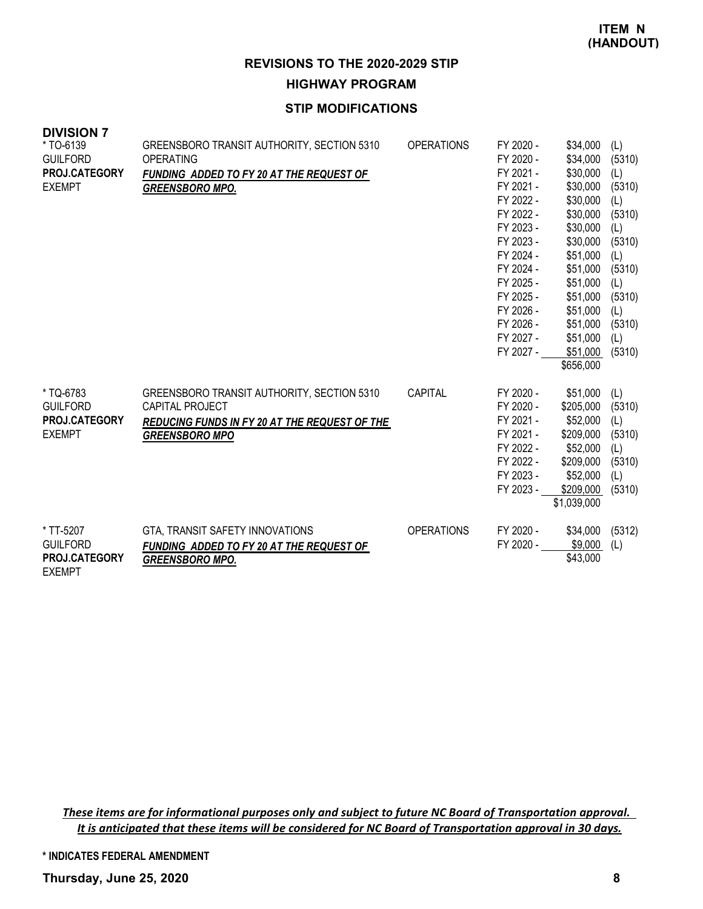### **STIP MODIFICATIONS**

| <b>DIVISION 7</b><br>* TO-6139<br><b>GUILFORD</b><br>PROJ.CATEGORY<br><b>EXEMPT</b> | GREENSBORO TRANSIT AUTHORITY, SECTION 5310<br>OPERATING<br>FUNDING ADDED TO FY 20 AT THE REQUEST OF<br><b>GREENSBORO MPO.</b>                         | <b>OPERATIONS</b> | FY 2020 -<br>FY 2020 -<br>FY 2021 -<br>FY 2021 -<br>FY 2022 -<br>FY 2022 -<br>FY 2023 -<br>FY 2023 -<br>FY 2024 -<br>FY 2024 -<br>FY 2025 -<br>FY 2025 -<br>FY 2026 -<br>FY 2026 -<br>FY 2027 -<br>FY 2027 - | \$34,000<br>\$34,000<br>\$30,000<br>\$30,000<br>\$30,000<br>\$30,000<br>\$30,000<br>\$30,000<br>\$51,000<br>\$51,000<br>\$51,000<br>\$51,000<br>\$51,000<br>\$51,000<br>\$51,000<br>\$51,000<br>\$656,000 | (L)<br>(5310)<br>(L)<br>(5310)<br>(L)<br>(5310)<br>(L)<br>(5310)<br>(1)<br>(5310)<br>(L)<br>(5310)<br>(L)<br>(5310)<br>(L)<br>(5310) |
|-------------------------------------------------------------------------------------|-------------------------------------------------------------------------------------------------------------------------------------------------------|-------------------|--------------------------------------------------------------------------------------------------------------------------------------------------------------------------------------------------------------|-----------------------------------------------------------------------------------------------------------------------------------------------------------------------------------------------------------|--------------------------------------------------------------------------------------------------------------------------------------|
| * TQ-6783<br><b>GUILFORD</b><br>PROJ.CATEGORY<br><b>EXEMPT</b>                      | GREENSBORO TRANSIT AUTHORITY, SECTION 5310<br><b>CAPITAL PROJECT</b><br><b>REDUCING FUNDS IN FY 20 AT THE REQUEST OF THE</b><br><b>GREENSBORO MPO</b> | <b>CAPITAL</b>    | FY 2020 -<br>FY 2020 -<br>FY 2021 -<br>FY 2021 -<br>FY 2022 -<br>FY 2022 -<br>FY 2023 -<br>FY 2023 -                                                                                                         | \$51,000<br>\$205,000<br>\$52,000<br>\$209,000<br>\$52,000<br>\$209,000<br>\$52,000<br>\$209,000<br>\$1,039,000                                                                                           | (L)<br>(5310)<br>(1)<br>(5310)<br>(L)<br>(5310)<br>(1)<br>(5310)                                                                     |
| * TT-5207<br><b>GUILFORD</b><br>PROJ.CATEGORY                                       | GTA, TRANSIT SAFETY INNOVATIONS<br><b>FUNDING ADDED TO FY 20 AT THE REQUEST OF</b><br><b>GREENSBORO MPO.</b>                                          | <b>OPERATIONS</b> | FY 2020 -<br>FY 2020 -                                                                                                                                                                                       | \$34,000<br>\$9,000<br>\$43,000                                                                                                                                                                           | (5312)<br>(L)                                                                                                                        |

These items are for informational purposes only and subject to future NC Board of Transportation approval. It is anticipated that these items will be considered for NC Board of Transportation approval in 30 days.

**\* INDICATES FEDERAL AMENDMENT**

**Thursday, June 25, 2020 8**

EXEMPT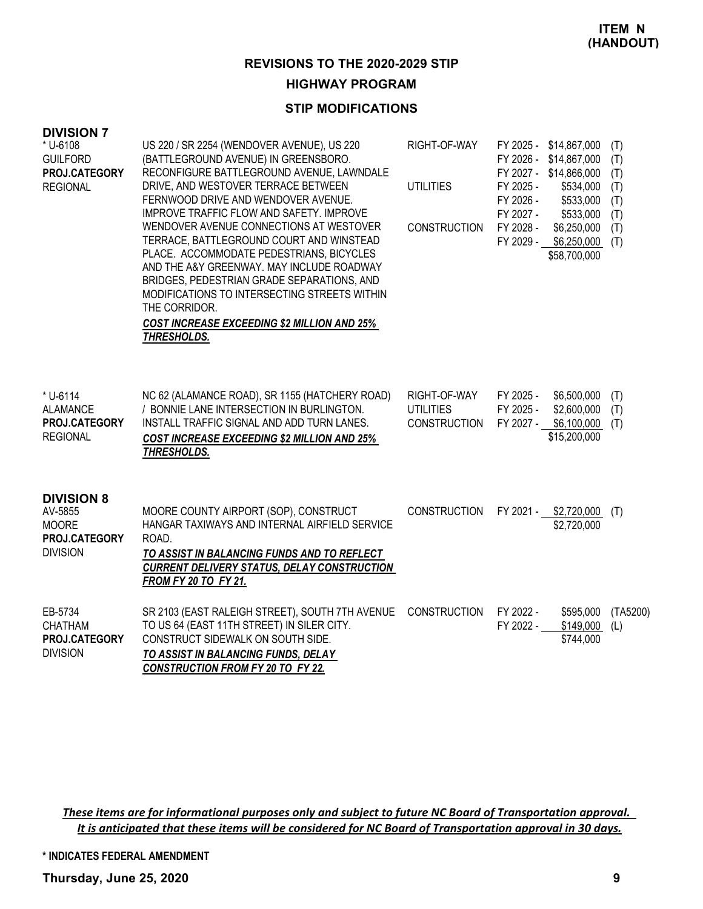#### **STIP MODIFICATIONS**

#### **DIVISION 7**

| <b>UIVIJIUN <i>I</i></b><br>* U-6108<br><b>GUILFORD</b><br>PROJ.CATEGORY<br><b>REGIONAL</b> | US 220 / SR 2254 (WENDOVER AVENUE), US 220<br>(BATTLEGROUND AVENUE) IN GREENSBORO.<br>RECONFIGURE BATTLEGROUND AVENUE, LAWNDALE<br>DRIVE, AND WESTOVER TERRACE BETWEEN<br>FERNWOOD DRIVE AND WENDOVER AVENUE.<br>IMPROVE TRAFFIC FLOW AND SAFETY. IMPROVE<br>WENDOVER AVENUE CONNECTIONS AT WESTOVER<br>TERRACE, BATTLEGROUND COURT AND WINSTEAD<br>PLACE. ACCOMMODATE PEDESTRIANS, BICYCLES<br>AND THE A&Y GREENWAY. MAY INCLUDE ROADWAY<br>BRIDGES, PEDESTRIAN GRADE SEPARATIONS, AND<br>MODIFICATIONS TO INTERSECTING STREETS WITHIN<br>THE CORRIDOR.<br><b>COST INCREASE EXCEEDING \$2 MILLION AND 25%</b><br>THRESHOLDS. | RIGHT-OF-WAY<br><b>UTILITIES</b><br><b>CONSTRUCTION</b> | FY 2025 - \$14,867,000<br>FY 2026 -<br>\$14,867,000<br>FY 2027 - \$14,866,000<br>FY 2025 -<br>\$534,000<br>FY 2026 -<br>\$533,000<br>FY 2027 -<br>\$533,000<br>FY 2028 -<br>\$6,250,000<br>FY 2029 -<br>\$6,250,000<br>\$58,700,000 | (T)<br>(T)<br>(T)<br>(T)<br>(T)<br>(T)<br>(T)<br>(T) |
|---------------------------------------------------------------------------------------------|-------------------------------------------------------------------------------------------------------------------------------------------------------------------------------------------------------------------------------------------------------------------------------------------------------------------------------------------------------------------------------------------------------------------------------------------------------------------------------------------------------------------------------------------------------------------------------------------------------------------------------|---------------------------------------------------------|-------------------------------------------------------------------------------------------------------------------------------------------------------------------------------------------------------------------------------------|------------------------------------------------------|
| * U-6114<br><b>ALAMANCE</b><br>PROJ.CATEGORY<br><b>REGIONAL</b>                             | NC 62 (ALAMANCE ROAD), SR 1155 (HATCHERY ROAD)<br>/ BONNIE LANE INTERSECTION IN BURLINGTON.<br>INSTALL TRAFFIC SIGNAL AND ADD TURN LANES.<br><b>COST INCREASE EXCEEDING \$2 MILLION AND 25%</b><br>THRESHOLDS.                                                                                                                                                                                                                                                                                                                                                                                                                | RIGHT-OF-WAY<br><b>UTILITIES</b><br><b>CONSTRUCTION</b> | FY 2025 -<br>\$6,500,000<br>FY 2025 -<br>\$2,600,000<br>FY 2027 -<br>\$6,100,000<br>\$15,200,000                                                                                                                                    | (T)<br>(T)<br>(T)                                    |
| <b>DIVISION 8</b><br>AV-5855<br><b>MOORE</b><br>PROJ.CATEGORY<br><b>DIVISION</b>            | MOORE COUNTY AIRPORT (SOP), CONSTRUCT<br>HANGAR TAXIWAYS AND INTERNAL AIRFIELD SERVICE<br>ROAD.<br>TO ASSIST IN BALANCING FUNDS AND TO REFLECT<br><b>CURRENT DELIVERY STATUS, DELAY CONSTRUCTION</b><br>FROM FY 20 TO FY 21.                                                                                                                                                                                                                                                                                                                                                                                                  | CONSTRUCTION                                            | FY 2021 - \$2,720,000<br>\$2,720,000                                                                                                                                                                                                | (T)                                                  |
| EB-5734<br><b>CHATHAM</b><br>PROJ.CATEGORY<br><b>DIVISION</b>                               | SR 2103 (EAST RALEIGH STREET), SOUTH 7TH AVENUE<br>TO US 64 (EAST 11TH STREET) IN SILER CITY.<br>CONSTRUCT SIDEWALK ON SOUTH SIDE.<br>TO ASSIST IN BALANCING FUNDS, DELAY<br><b>CONSTRUCTION FROM FY 20 TO FY 22.</b>                                                                                                                                                                                                                                                                                                                                                                                                         | <b>CONSTRUCTION</b>                                     | FY 2022 -<br>\$595,000<br>FY 2022 -<br>\$149,000<br>\$744,000                                                                                                                                                                       | (TA5200)<br>(L)                                      |

These items are for informational purposes only and subject to future NC Board of Transportation approval. It is anticipated that these items will be considered for NC Board of Transportation approval in 30 days.

**\* INDICATES FEDERAL AMENDMENT**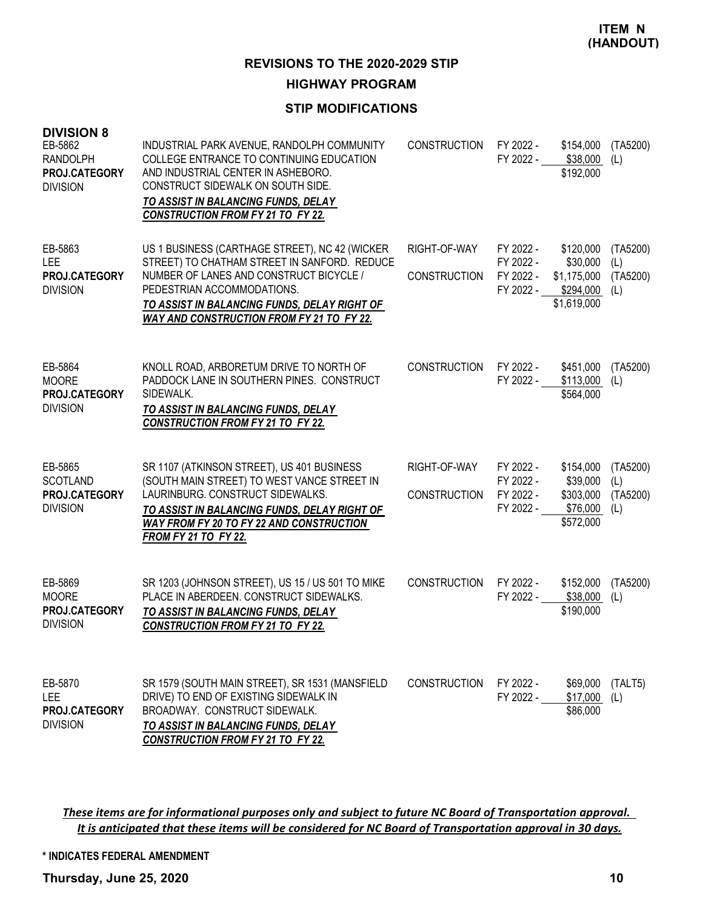#### **STIP MODIFICATIONS**

| <b>DIVISION 8</b><br>EB-5862<br><b>RANDOLPH</b><br>PROJ.CATEGORY<br><b>DIVISION</b> | INDUSTRIAL PARK AVENUE, RANDOLPH COMMUNITY<br>COLLEGE ENTRANCE TO CONTINUING EDUCATION<br>AND INDUSTRIAL CENTER IN ASHEBORO.<br>CONSTRUCT SIDEWALK ON SOUTH SIDE.<br>TO ASSIST IN BALANCING FUNDS, DELAY<br><b>CONSTRUCTION FROM FY 21 TO FY 22.</b>                        | <b>CONSTRUCTION</b>                 | FY 2022 -<br>FY 2022 -                           | \$154,000<br>\$38,000<br>\$192,000                               | (TA5200)<br>(L)                    |
|-------------------------------------------------------------------------------------|-----------------------------------------------------------------------------------------------------------------------------------------------------------------------------------------------------------------------------------------------------------------------------|-------------------------------------|--------------------------------------------------|------------------------------------------------------------------|------------------------------------|
| EB-5863<br><b>LEE</b><br>PROJ.CATEGORY<br><b>DIVISION</b>                           | US 1 BUSINESS (CARTHAGE STREET), NC 42 (WICKER<br>STREET) TO CHATHAM STREET IN SANFORD. REDUCE<br>NUMBER OF LANES AND CONSTRUCT BICYCLE /<br>PEDESTRIAN ACCOMMODATIONS.<br>TO ASSIST IN BALANCING FUNDS, DELAY RIGHT OF<br><b>WAY AND CONSTRUCTION FROM FY 21 TO FY 22.</b> | RIGHT-OF-WAY<br><b>CONSTRUCTION</b> | FY 2022 -<br>FY 2022 -<br>FY 2022 -<br>FY 2022 - | \$120,000<br>\$30,000<br>\$1,175,000<br>\$294,000<br>\$1,619,000 | (TA5200)<br>(L)<br>(TA5200)<br>(L) |
| EB-5864<br><b>MOORE</b><br>PROJ.CATEGORY<br><b>DIVISION</b>                         | KNOLL ROAD, ARBORETUM DRIVE TO NORTH OF<br>PADDOCK LANE IN SOUTHERN PINES. CONSTRUCT<br>SIDEWALK.<br>TO ASSIST IN BALANCING FUNDS, DELAY<br><b>CONSTRUCTION FROM FY 21 TO FY 22.</b>                                                                                        | CONSTRUCTION                        | FY 2022 -<br>FY 2022 -                           | \$451,000<br>\$113,000<br>\$564,000                              | (TA5200)<br>(L)                    |
| EB-5865<br><b>SCOTLAND</b><br>PROJ.CATEGORY<br><b>DIVISION</b>                      | SR 1107 (ATKINSON STREET), US 401 BUSINESS<br>(SOUTH MAIN STREET) TO WEST VANCE STREET IN<br>LAURINBURG. CONSTRUCT SIDEWALKS.<br>TO ASSIST IN BALANCING FUNDS, DELAY RIGHT OF<br><b>WAY FROM FY 20 TO FY 22 AND CONSTRUCTION</b><br><b>FROM FY 21 TO FY 22.</b>             | RIGHT-OF-WAY<br><b>CONSTRUCTION</b> | FY 2022 -<br>FY 2022 -<br>FY 2022 -<br>FY 2022 - | \$154,000<br>\$39,000<br>\$303,000<br>\$76,000<br>\$572,000      | (TA5200)<br>(L)<br>(TA5200)<br>(L) |
| EB-5869<br><b>MOORE</b><br>PROJ.CATEGORY<br><b>DIVISION</b>                         | SR 1203 (JOHNSON STREET), US 15 / US 501 TO MIKE<br>PLACE IN ABERDEEN. CONSTRUCT SIDEWALKS.<br>TO ASSIST IN BALANCING FUNDS, DELAY<br><b>CONSTRUCTION FROM FY 21 TO FY 22.</b>                                                                                              | <b>CONSTRUCTION</b>                 | FY 2022 -<br>FY 2022 -                           | \$152,000<br>\$38,000<br>\$190,000                               | (TA5200)<br>(L)                    |
| EB-5870<br>LEE<br>PROJ.CATEGORY<br><b>DIVISION</b>                                  | SR 1579 (SOUTH MAIN STREET), SR 1531 (MANSFIELD<br>DRIVE) TO END OF EXISTING SIDEWALK IN<br>BROADWAY. CONSTRUCT SIDEWALK.<br>TO ASSIST IN BALANCING FUNDS, DELAY<br><b>CONSTRUCTION FROM FY 21 TO FY 22.</b>                                                                | <b>CONSTRUCTION</b>                 | FY 2022 -<br>FY 2022 -                           | \$69,000<br>\$17,000<br>\$86,000                                 | (TALT5)<br>(L)                     |

These items are for informational purposes only and subject to future NC Board of Transportation approval. It is anticipated that these items will be considered for NC Board of Transportation approval in 30 days.

**\* INDICATES FEDERAL AMENDMENT**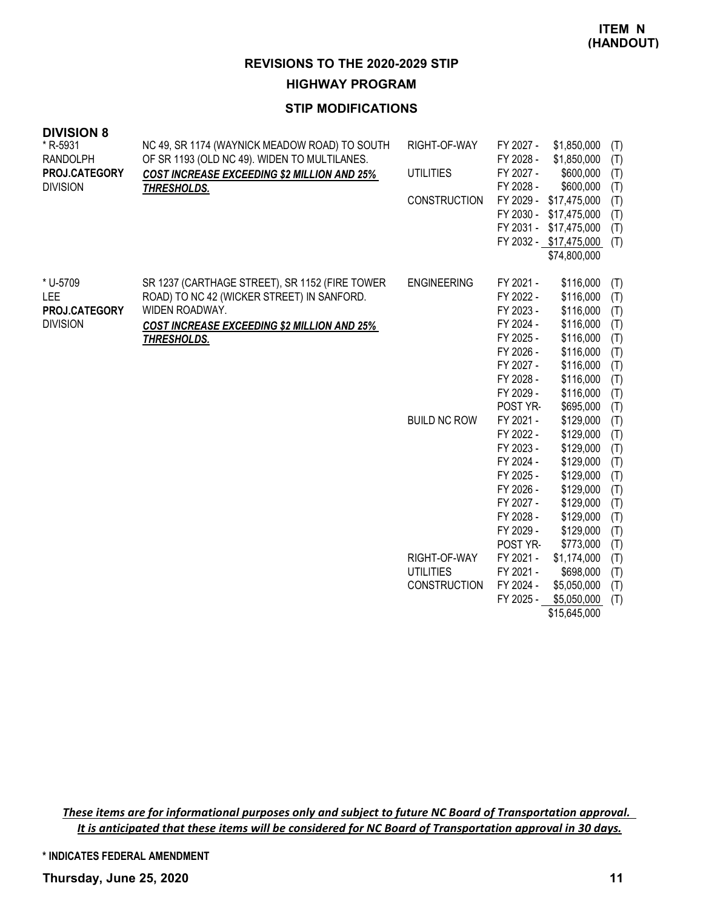### **STIP MODIFICATIONS**

| <b>DIVISION 8</b>           |                                                                                               |                     |                        |                            |            |
|-----------------------------|-----------------------------------------------------------------------------------------------|---------------------|------------------------|----------------------------|------------|
| * R-5931<br><b>RANDOLPH</b> | NC 49, SR 1174 (WAYNICK MEADOW ROAD) TO SOUTH<br>OF SR 1193 (OLD NC 49). WIDEN TO MULTILANES. | RIGHT-OF-WAY        | FY 2027 -<br>FY 2028 - | \$1,850,000<br>\$1,850,000 | (T)<br>(T) |
| PROJ.CATEGORY               | <b>COST INCREASE EXCEEDING \$2 MILLION AND 25%</b>                                            | <b>UTILITIES</b>    | FY 2027 -              | \$600,000                  | (T)        |
| <b>DIVISION</b>             | THRESHOLDS.                                                                                   |                     | FY 2028 -              | \$600,000                  | (T)        |
|                             |                                                                                               | CONSTRUCTION        | FY 2029 -              | \$17,475,000               | (T)        |
|                             |                                                                                               |                     | FY 2030 -              | \$17,475,000               | (T)        |
|                             |                                                                                               |                     |                        | FY 2031 - \$17,475,000     | (T)        |
|                             |                                                                                               |                     |                        | FY 2032 - \$17,475,000     | (T)        |
|                             |                                                                                               |                     |                        | \$74,800,000               |            |
| * U-5709                    | SR 1237 (CARTHAGE STREET), SR 1152 (FIRE TOWER                                                | <b>ENGINEERING</b>  | FY 2021 -              | \$116,000                  | (T)        |
| <b>LEE</b>                  | ROAD) TO NC 42 (WICKER STREET) IN SANFORD.                                                    |                     | FY 2022 -              | \$116,000                  | (T)        |
| PROJ.CATEGORY               | WIDEN ROADWAY.                                                                                |                     | FY 2023 -              | \$116,000                  | (T)        |
| <b>DIVISION</b>             | <b>COST INCREASE EXCEEDING \$2 MILLION AND 25%</b>                                            |                     | FY 2024 -              | \$116,000                  | (T)        |
|                             | THRESHOLDS.                                                                                   |                     | FY 2025 -              | \$116,000                  | (T)        |
|                             |                                                                                               |                     | FY 2026 -              | \$116,000                  | (T)        |
|                             |                                                                                               |                     | FY 2027 -              | \$116,000                  | (T)        |
|                             |                                                                                               |                     | FY 2028 -              | \$116,000                  | (T)        |
|                             |                                                                                               |                     | FY 2029 -              | \$116,000                  | (T)        |
|                             |                                                                                               |                     | POST YR-               | \$695,000                  | (T)        |
|                             |                                                                                               | <b>BUILD NC ROW</b> | FY 2021 -              | \$129,000                  | (T)        |
|                             |                                                                                               |                     | FY 2022 -              | \$129,000                  | (T)        |
|                             |                                                                                               |                     | FY 2023 -<br>FY 2024 - | \$129,000<br>\$129,000     | (T)        |
|                             |                                                                                               |                     | FY 2025 -              | \$129,000                  | (T)<br>(T) |
|                             |                                                                                               |                     | FY 2026 -              | \$129,000                  | (T)        |
|                             |                                                                                               |                     | FY 2027 -              | \$129,000                  | (T)        |
|                             |                                                                                               |                     | FY 2028 -              | \$129,000                  | (T)        |
|                             |                                                                                               |                     | FY 2029 -              | \$129,000                  | (T)        |
|                             |                                                                                               |                     | POST YR-               | \$773,000                  | (T)        |
|                             |                                                                                               | RIGHT-OF-WAY        | FY 2021 -              | \$1,174,000                | (T)        |
|                             |                                                                                               | <b>UTILITIES</b>    | FY 2021 -              | \$698,000                  | (T)        |
|                             |                                                                                               | <b>CONSTRUCTION</b> | FY 2024 -              | \$5,050,000                | (T)        |
|                             |                                                                                               |                     | FY 2025 -              | \$5,050,000                | (T)        |
|                             |                                                                                               |                     |                        | \$15,645,000               |            |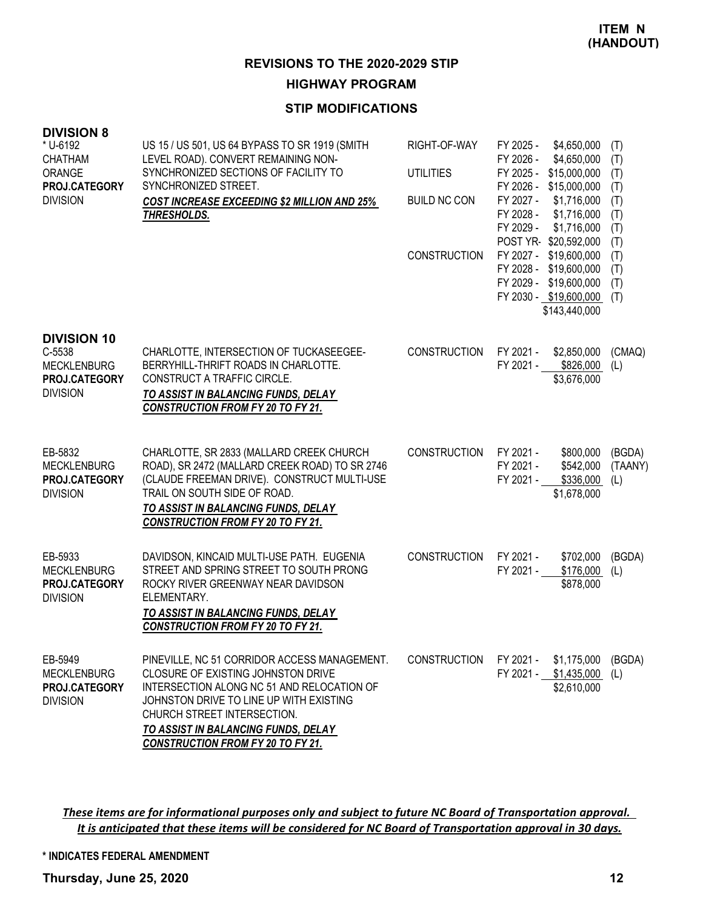#### **STIP MODIFICATIONS**

| <b>DIVISION 8</b><br>* U-6192<br><b>CHATHAM</b><br>ORANGE<br>PROJ.CATEGORY<br><b>DIVISION</b> | US 15 / US 501, US 64 BYPASS TO SR 1919 (SMITH<br>LEVEL ROAD). CONVERT REMAINING NON-<br>SYNCHRONIZED SECTIONS OF FACILITY TO<br>SYNCHRONIZED STREET.<br><b>COST INCREASE EXCEEDING \$2 MILLION AND 25%</b><br>THRESHOLDS.                                                                    | RIGHT-OF-WAY<br><b>UTILITIES</b><br><b>BUILD NC CON</b><br><b>CONSTRUCTION</b> | FY 2025 -<br>\$4,650,000<br>FY 2026 -<br>\$4,650,000<br>FY 2025 -<br>\$15,000,000<br>FY 2026 - \$15,000,000<br>FY 2027 -<br>\$1,716,000<br>FY 2028 -<br>\$1,716,000<br>FY 2029 -<br>\$1,716,000<br>POST YR-\$20,592,000<br>FY 2027 - \$19,600,000<br>FY 2028 - \$19,600,000<br>FY 2029 - \$19,600,000<br>FY 2030 - \$19,600,000<br>\$143,440,000 | (T)<br>(T)<br>(T)<br>(T)<br>(T)<br>(T)<br>(T)<br>(T)<br>(T)<br>(T)<br>(T)<br>(T) |
|-----------------------------------------------------------------------------------------------|-----------------------------------------------------------------------------------------------------------------------------------------------------------------------------------------------------------------------------------------------------------------------------------------------|--------------------------------------------------------------------------------|--------------------------------------------------------------------------------------------------------------------------------------------------------------------------------------------------------------------------------------------------------------------------------------------------------------------------------------------------|----------------------------------------------------------------------------------|
| <b>DIVISION 10</b><br>C-5538<br><b>MECKLENBURG</b><br>PROJ.CATEGORY<br><b>DIVISION</b>        | CHARLOTTE, INTERSECTION OF TUCKASEEGEE-<br>BERRYHILL-THRIFT ROADS IN CHARLOTTE.<br>CONSTRUCT A TRAFFIC CIRCLE.<br>TO ASSIST IN BALANCING FUNDS, DELAY<br><b>CONSTRUCTION FROM FY 20 TO FY 21.</b>                                                                                             | <b>CONSTRUCTION</b>                                                            | FY 2021 -<br>\$2,850,000<br>FY 2021 - \$826,000<br>\$3,676,000                                                                                                                                                                                                                                                                                   | (CMAQ)<br>(L)                                                                    |
| EB-5832<br><b>MECKLENBURG</b><br>PROJ.CATEGORY<br><b>DIVISION</b>                             | CHARLOTTE, SR 2833 (MALLARD CREEK CHURCH<br>ROAD), SR 2472 (MALLARD CREEK ROAD) TO SR 2746<br>(CLAUDE FREEMAN DRIVE). CONSTRUCT MULTI-USE<br>TRAIL ON SOUTH SIDE OF ROAD.<br>TO ASSIST IN BALANCING FUNDS, DELAY<br><b>CONSTRUCTION FROM FY 20 TO FY 21.</b>                                  | <b>CONSTRUCTION</b>                                                            | FY 2021 -<br>\$800,000<br>FY 2021 -<br>\$542,000<br>FY 2021 -<br>\$336,000<br>\$1,678,000                                                                                                                                                                                                                                                        | (BGDA)<br>(TAANY)<br>(L)                                                         |
| EB-5933<br><b>MECKLENBURG</b><br>PROJ.CATEGORY<br><b>DIVISION</b>                             | DAVIDSON, KINCAID MULTI-USE PATH. EUGENIA<br>STREET AND SPRING STREET TO SOUTH PRONG<br>ROCKY RIVER GREENWAY NEAR DAVIDSON<br>ELEMENTARY.<br>TO ASSIST IN BALANCING FUNDS, DELAY<br><b>CONSTRUCTION FROM FY 20 TO FY 21.</b>                                                                  | <b>CONSTRUCTION</b>                                                            | FY 2021 -<br>\$702,000<br>\$176,000<br>FY 2021 -<br>\$878,000                                                                                                                                                                                                                                                                                    | (BGDA)<br>(L)                                                                    |
| EB-5949<br><b>MECKLENBURG</b><br>PROJ.CATEGORY<br><b>DIVISION</b>                             | PINEVILLE, NC 51 CORRIDOR ACCESS MANAGEMENT.<br>CLOSURE OF EXISTING JOHNSTON DRIVE<br>INTERSECTION ALONG NC 51 AND RELOCATION OF<br>JOHNSTON DRIVE TO LINE UP WITH EXISTING<br>CHURCH STREET INTERSECTION.<br>TO ASSIST IN BALANCING FUNDS, DELAY<br><b>CONSTRUCTION FROM FY 20 TO FY 21.</b> | <b>CONSTRUCTION</b>                                                            | FY 2021 -<br>\$1,175,000<br>FY 2021 -<br>\$1,435,000<br>\$2,610,000                                                                                                                                                                                                                                                                              | (BGDA)<br>(L)                                                                    |

These items are for informational purposes only and subject to future NC Board of Transportation approval. It is anticipated that these items will be considered for NC Board of Transportation approval in 30 days.

#### **\* INDICATES FEDERAL AMENDMENT**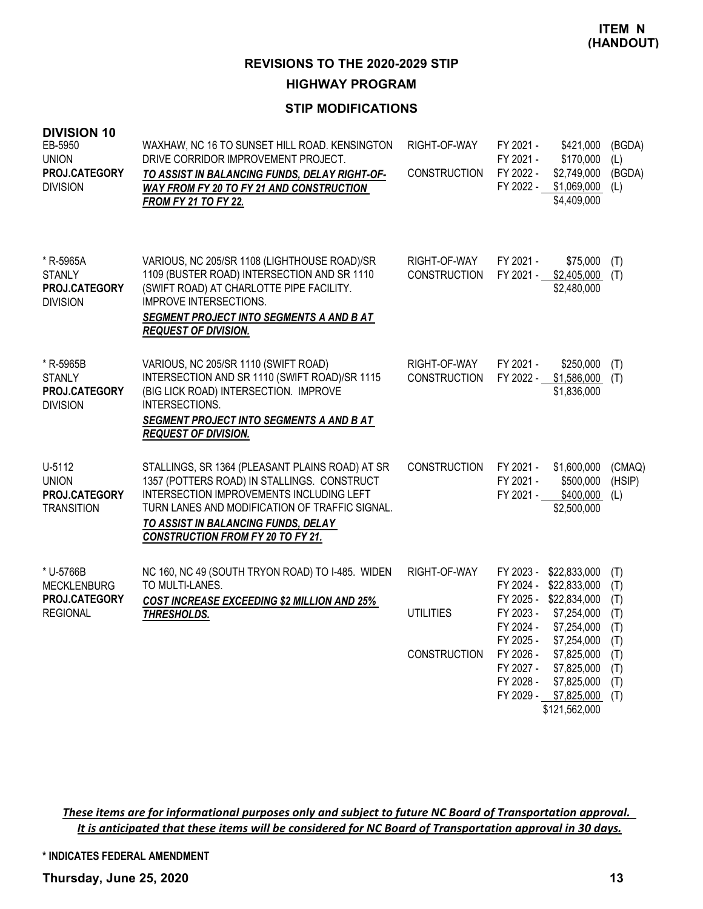#### **STIP MODIFICATIONS**

| <b>DIVISION 10</b><br>EB-5950<br><b>UNION</b><br><b>PROJ.CATEGORY</b><br><b>DIVISION</b> | WAXHAW, NC 16 TO SUNSET HILL ROAD. KENSINGTON<br>DRIVE CORRIDOR IMPROVEMENT PROJECT.<br>TO ASSIST IN BALANCING FUNDS, DELAY RIGHT-OF-<br>WAY FROM FY 20 TO FY 21 AND CONSTRUCTION<br><b>FROM FY 21 TO FY 22.</b>                                                                | RIGHT-OF-WAY<br><b>CONSTRUCTION</b> | FY 2021 -<br>FY 2021 -<br>FY 2022 -<br>FY 2022 - | \$421,000<br>\$170,000<br>\$2,749,000<br>\$1,069,000<br>\$4,409,000                                | (BGDA)<br>(L)<br>(BGDA)<br>(1)  |
|------------------------------------------------------------------------------------------|---------------------------------------------------------------------------------------------------------------------------------------------------------------------------------------------------------------------------------------------------------------------------------|-------------------------------------|--------------------------------------------------|----------------------------------------------------------------------------------------------------|---------------------------------|
| * R-5965A<br><b>STANLY</b><br>PROJ.CATEGORY<br><b>DIVISION</b>                           | VARIOUS, NC 205/SR 1108 (LIGHTHOUSE ROAD)/SR<br>1109 (BUSTER ROAD) INTERSECTION AND SR 1110<br>(SWIFT ROAD) AT CHARLOTTE PIPE FACILITY.<br><b>IMPROVE INTERSECTIONS.</b><br>SEGMENT PROJECT INTO SEGMENTS A AND B AT<br><b>REQUEST OF DIVISION.</b>                             | RIGHT-OF-WAY<br><b>CONSTRUCTION</b> | FY 2021 -                                        | \$75,000<br>FY 2021 - \$2,405,000<br>\$2,480,000                                                   | (T)<br>(T)                      |
| * R-5965B<br><b>STANLY</b><br>PROJ.CATEGORY<br><b>DIVISION</b>                           | VARIOUS, NC 205/SR 1110 (SWIFT ROAD)<br>INTERSECTION AND SR 1110 (SWIFT ROAD)/SR 1115<br>(BIG LICK ROAD) INTERSECTION. IMPROVE<br>INTERSECTIONS.<br>SEGMENT PROJECT INTO SEGMENTS A AND B AT<br><b>REQUEST OF DIVISION.</b>                                                     | RIGHT-OF-WAY<br><b>CONSTRUCTION</b> | FY 2021 -                                        | \$250,000<br>FY 2022 - \$1,586,000<br>\$1,836,000                                                  | (T)<br>(T)                      |
| U-5112<br><b>UNION</b><br>PROJ.CATEGORY<br><b>TRANSITION</b>                             | STALLINGS, SR 1364 (PLEASANT PLAINS ROAD) AT SR<br>1357 (POTTERS ROAD) IN STALLINGS. CONSTRUCT<br>INTERSECTION IMPROVEMENTS INCLUDING LEFT<br>TURN LANES AND MODIFICATION OF TRAFFIC SIGNAL.<br>TO ASSIST IN BALANCING FUNDS, DELAY<br><b>CONSTRUCTION FROM FY 20 TO FY 21.</b> | <b>CONSTRUCTION</b>                 | FY 2021 -<br>FY 2021 -<br>FY 2021 -              | \$1,600,000<br>\$500,000<br>\$400,000<br>\$2,500,000                                               | (CMAQ)<br>(HSIP)<br>(L)         |
| * U-5766B<br><b>MECKLENBURG</b><br>PROJ.CATEGORY<br><b>REGIONAL</b>                      | NC 160, NC 49 (SOUTH TRYON ROAD) TO I-485. WIDEN<br>TO MULTI-LANES.<br><b>COST INCREASE EXCEEDING \$2 MILLION AND 25%</b><br>THRESHOLDS.                                                                                                                                        | RIGHT-OF-WAY<br><b>UTILITIES</b>    | FY 2023 -<br>FY 2024 -<br>FY 2023 -<br>FY 2024 - | \$22,833,000<br>\$22,833,000<br>FY 2025 - \$22,834,000<br>\$7,254,000<br>\$7,254,000               | (T)<br>(T)<br>(T)<br>(T)<br>(T) |
|                                                                                          |                                                                                                                                                                                                                                                                                 | <b>CONSTRUCTION</b>                 | FY 2025 -<br>FY 2026 -<br>FY 2027 -<br>FY 2028 - | \$7,254,000<br>\$7,825,000<br>\$7,825,000<br>\$7,825,000<br>FY 2029 - \$7,825,000<br>\$121,562,000 | (T)<br>(T)<br>(T)<br>(T)<br>(T) |

These items are for informational purposes only and subject to future NC Board of Transportation approval. It is anticipated that these items will be considered for NC Board of Transportation approval in 30 days.

**\* INDICATES FEDERAL AMENDMENT**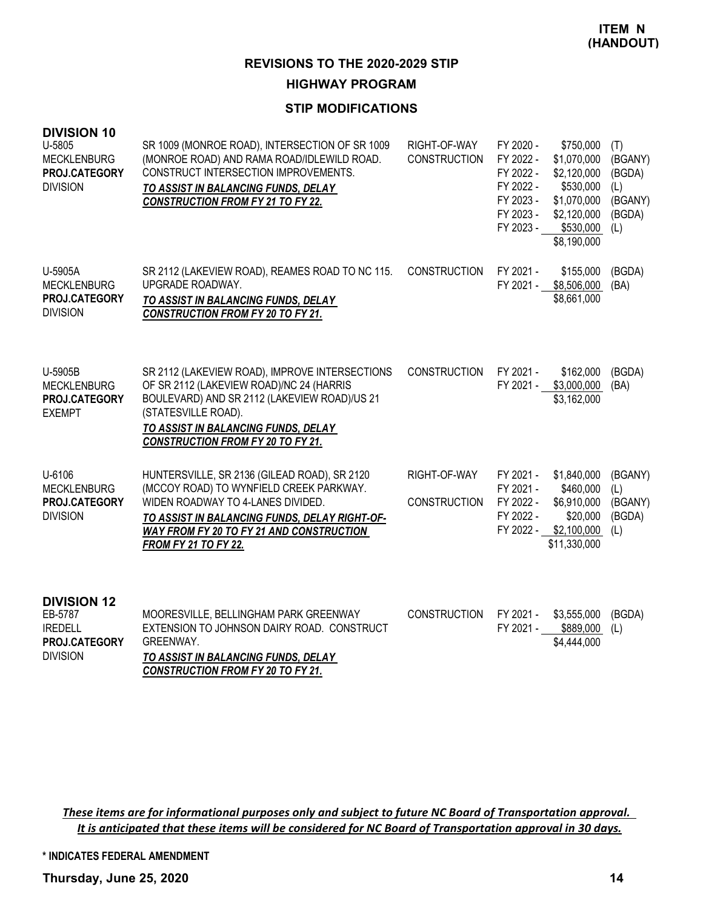#### **STIP MODIFICATIONS**

| <b>DIVISION 10</b><br>U-5805<br><b>MECKLENBURG</b><br>PROJ.CATEGORY<br><b>DIVISION</b> | SR 1009 (MONROE ROAD), INTERSECTION OF SR 1009<br>(MONROE ROAD) AND RAMA ROAD/IDLEWILD ROAD.<br>CONSTRUCT INTERSECTION IMPROVEMENTS.<br>TO ASSIST IN BALANCING FUNDS, DELAY<br><b>CONSTRUCTION FROM FY 21 TO FY 22.</b>                                         | RIGHT-OF-WAY<br><b>CONSTRUCTION</b> | FY 2020 -<br>FY 2022 -<br>FY 2022 -<br>FY 2022 -<br>FY 2023 -<br>FY 2023 -<br>FY 2023 - | \$750,000<br>\$1,070,000<br>\$2,120,000<br>\$530,000<br>\$1,070,000<br>\$2,120,000<br>\$530,000<br>\$8,190,000 | (T)<br>(BGANY)<br>(BGDA)<br>(L)<br>(BGANY)<br>(BGDA)<br>(L) |
|----------------------------------------------------------------------------------------|-----------------------------------------------------------------------------------------------------------------------------------------------------------------------------------------------------------------------------------------------------------------|-------------------------------------|-----------------------------------------------------------------------------------------|----------------------------------------------------------------------------------------------------------------|-------------------------------------------------------------|
| U-5905A<br><b>MECKLENBURG</b><br>PROJ.CATEGORY<br><b>DIVISION</b>                      | SR 2112 (LAKEVIEW ROAD), REAMES ROAD TO NC 115.<br>UPGRADE ROADWAY.<br>TO ASSIST IN BALANCING FUNDS, DELAY<br><b>CONSTRUCTION FROM FY 20 TO FY 21.</b>                                                                                                          | <b>CONSTRUCTION</b>                 | FY 2021 -<br>FY 2021 -                                                                  | \$155,000<br>\$8,506,000<br>\$8,661,000                                                                        | (BGDA)<br>(BA)                                              |
| U-5905B<br><b>MECKLENBURG</b><br>PROJ.CATEGORY<br><b>EXEMPT</b>                        | SR 2112 (LAKEVIEW ROAD), IMPROVE INTERSECTIONS<br>OF SR 2112 (LAKEVIEW ROAD)/NC 24 (HARRIS<br>BOULEVARD) AND SR 2112 (LAKEVIEW ROAD)/US 21<br>(STATESVILLE ROAD).<br>TO ASSIST IN BALANCING FUNDS, DELAY<br><b>CONSTRUCTION FROM FY 20 TO FY 21.</b>            | <b>CONSTRUCTION</b>                 | FY 2021 -                                                                               | \$162,000<br>FY 2021 - \$3,000,000<br>\$3,162,000                                                              | (BGDA)<br>(BA)                                              |
| U-6106<br><b>MECKLENBURG</b><br>PROJ.CATEGORY<br><b>DIVISION</b>                       | HUNTERSVILLE, SR 2136 (GILEAD ROAD), SR 2120<br>(MCCOY ROAD) TO WYNFIELD CREEK PARKWAY.<br>WIDEN ROADWAY TO 4-LANES DIVIDED.<br>TO ASSIST IN BALANCING FUNDS, DELAY RIGHT-OF-<br><b>WAY FROM FY 20 TO FY 21 AND CONSTRUCTION</b><br><b>FROM FY 21 TO FY 22.</b> | RIGHT-OF-WAY<br><b>CONSTRUCTION</b> | FY 2021 -<br>FY 2021 -<br>FY 2022 -<br>FY 2022 -<br>FY 2022 -                           | \$1,840,000<br>\$460,000<br>\$6,910,000<br>\$20,000<br>\$2,100,000<br>\$11,330,000                             | (BGANY)<br>(L)<br>(BGANY)<br>(BGDA)<br>(L)                  |
| <b>DIVISION 12</b><br>EB-5787<br><b>IREDELL</b><br>PROJ.CATEGORY<br><b>DIVISION</b>    | MOORESVILLE, BELLINGHAM PARK GREENWAY<br>EXTENSION TO JOHNSON DAIRY ROAD. CONSTRUCT<br>GREENWAY.<br>TO ASSIST IN BALANCING FUNDS, DELAY<br><b>CONSTRUCTION FROM FY 20 TO FY 21.</b>                                                                             | <b>CONSTRUCTION</b>                 | FY 2021 -                                                                               | \$3,555,000<br>FY 2021 - \$889,000<br>\$4,444,000                                                              | (BGDA)<br>(L)                                               |

These items are for informational purposes only and subject to future NC Board of Transportation approval. It is anticipated that these items will be considered for NC Board of Transportation approval in 30 days.

**\* INDICATES FEDERAL AMENDMENT**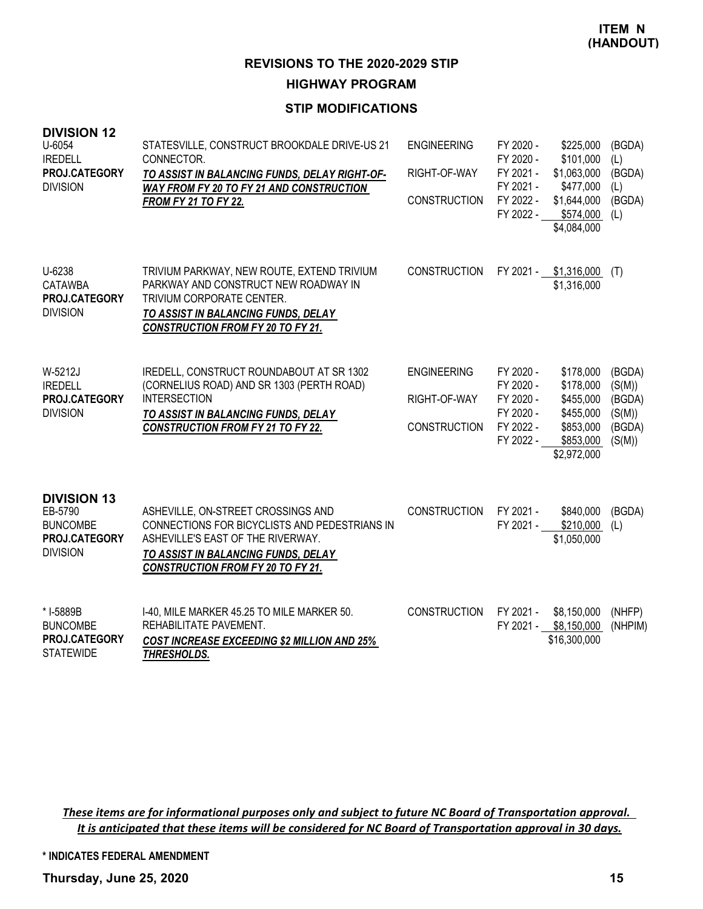#### **STIP MODIFICATIONS**

| <b>DIVISION 12</b><br>U-6054<br><b>IREDELL</b><br>PROJ.CATEGORY<br><b>DIVISION</b>   | STATESVILLE, CONSTRUCT BROOKDALE DRIVE-US 21<br>CONNECTOR.<br>TO ASSIST IN BALANCING FUNDS, DELAY RIGHT-OF-<br>WAY FROM FY 20 TO FY 21 AND CONSTRUCTION<br><b>FROM FY 21 TO FY 22.</b>                      | <b>ENGINEERING</b><br>RIGHT-OF-WAY<br><b>CONSTRUCTION</b> | FY 2020 -<br>FY 2020 -<br>FY 2021 -<br>FY 2021 -<br>FY 2022 -<br>FY 2022 - | \$225,000<br>\$101,000<br>\$1,063,000<br>\$477,000<br>\$1,644,000<br>\$574,000<br>\$4,084,000 | (BGDA)<br>(L)<br>(BGDA)<br>(L)<br>(BGDA)<br>(L)          |
|--------------------------------------------------------------------------------------|-------------------------------------------------------------------------------------------------------------------------------------------------------------------------------------------------------------|-----------------------------------------------------------|----------------------------------------------------------------------------|-----------------------------------------------------------------------------------------------|----------------------------------------------------------|
| U-6238<br>CATAWBA<br>PROJ.CATEGORY<br><b>DIVISION</b>                                | TRIVIUM PARKWAY, NEW ROUTE, EXTEND TRIVIUM<br>PARKWAY AND CONSTRUCT NEW ROADWAY IN<br>TRIVIUM CORPORATE CENTER.<br>TO ASSIST IN BALANCING FUNDS, DELAY<br><b>CONSTRUCTION FROM FY 20 TO FY 21.</b>          | <b>CONSTRUCTION</b>                                       |                                                                            | FY 2021 - \$1,316,000<br>\$1,316,000                                                          | (T)                                                      |
| W-5212J<br><b>IREDELL</b><br>PROJ.CATEGORY<br><b>DIVISION</b>                        | IREDELL, CONSTRUCT ROUNDABOUT AT SR 1302<br>(CORNELIUS ROAD) AND SR 1303 (PERTH ROAD)<br><b>INTERSECTION</b><br>TO ASSIST IN BALANCING FUNDS, DELAY<br><b>CONSTRUCTION FROM FY 21 TO FY 22.</b>             | <b>ENGINEERING</b><br>RIGHT-OF-WAY<br><b>CONSTRUCTION</b> | FY 2020 -<br>FY 2020 -<br>FY 2020 -<br>FY 2020 -<br>FY 2022 -<br>FY 2022 - | \$178,000<br>\$178,000<br>\$455,000<br>\$455,000<br>\$853,000<br>\$853,000<br>\$2,972,000     | (BGDA)<br>(S(M))<br>(BGDA)<br>(S(M))<br>(BGDA)<br>(S(M)) |
| <b>DIVISION 13</b><br>EB-5790<br><b>BUNCOMBE</b><br>PROJ.CATEGORY<br><b>DIVISION</b> | ASHEVILLE, ON-STREET CROSSINGS AND<br>CONNECTIONS FOR BICYCLISTS AND PEDESTRIANS IN<br>ASHEVILLE'S EAST OF THE RIVERWAY.<br>TO ASSIST IN BALANCING FUNDS, DELAY<br><b>CONSTRUCTION FROM FY 20 TO FY 21.</b> | <b>CONSTRUCTION</b>                                       | FY 2021 -<br>FY 2021 -                                                     | \$840,000<br>\$210,000<br>\$1,050,000                                                         | (BGDA)<br>(L)                                            |
| * I-5889B<br><b>BUNCOMBE</b><br>PROJ.CATEGORY<br><b>STATEWIDE</b>                    | I-40, MILE MARKER 45.25 TO MILE MARKER 50.<br>REHABILITATE PAVEMENT.<br><b>COST INCREASE EXCEEDING \$2 MILLION AND 25%</b><br>THRESHOLDS.                                                                   | <b>CONSTRUCTION</b>                                       | FY 2021 -                                                                  | \$8,150,000<br>FY 2021 - \$8,150,000<br>\$16,300,000                                          | (NHFP)<br>(NHPIM)                                        |

These items are for informational purposes only and subject to future NC Board of Transportation approval. It is anticipated that these items will be considered for NC Board of Transportation approval in 30 days.

**\* INDICATES FEDERAL AMENDMENT**